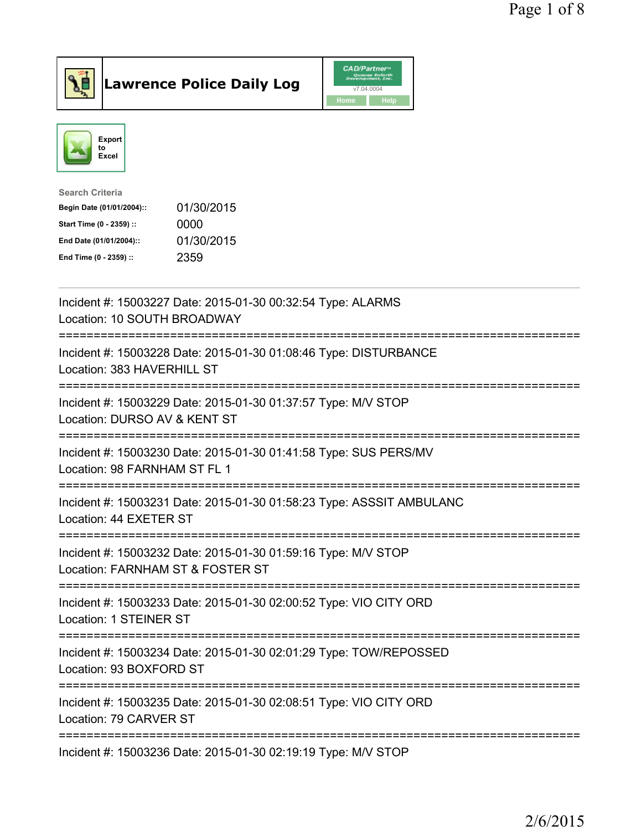



| Search Criteria           |            |
|---------------------------|------------|
| Begin Date (01/01/2004):: | 01/30/2015 |
| Start Time (0 - 2359) ::  | 0000       |
| End Date (01/01/2004)::   | 01/30/2015 |
| End Time (0 - 2359) ::    | 2359       |
|                           |            |

| Incident #: 15003227 Date: 2015-01-30 00:32:54 Type: ALARMS<br>Location: 10 SOUTH BROADWAY                            |
|-----------------------------------------------------------------------------------------------------------------------|
| Incident #: 15003228 Date: 2015-01-30 01:08:46 Type: DISTURBANCE<br>Location: 383 HAVERHILL ST                        |
| Incident #: 15003229 Date: 2015-01-30 01:37:57 Type: M/V STOP<br>Location: DURSO AV & KENT ST<br>:=================== |
| Incident #: 15003230 Date: 2015-01-30 01:41:58 Type: SUS PERS/MV<br>Location: 98 FARNHAM ST FL 1                      |
| Incident #: 15003231 Date: 2015-01-30 01:58:23 Type: ASSSIT AMBULANC<br>Location: 44 EXETER ST                        |
| Incident #: 15003232 Date: 2015-01-30 01:59:16 Type: M/V STOP<br>Location: FARNHAM ST & FOSTER ST                     |
| Incident #: 15003233 Date: 2015-01-30 02:00:52 Type: VIO CITY ORD<br>Location: 1 STEINER ST                           |
| Incident #: 15003234 Date: 2015-01-30 02:01:29 Type: TOW/REPOSSED<br>Location: 93 BOXFORD ST                          |
| Incident #: 15003235 Date: 2015-01-30 02:08:51 Type: VIO CITY ORD<br>Location: 79 CARVER ST                           |
| -------------------------------------<br>Incident #: 15003236 Date: 2015-01-30 02:19:19 Type: M/V STOP                |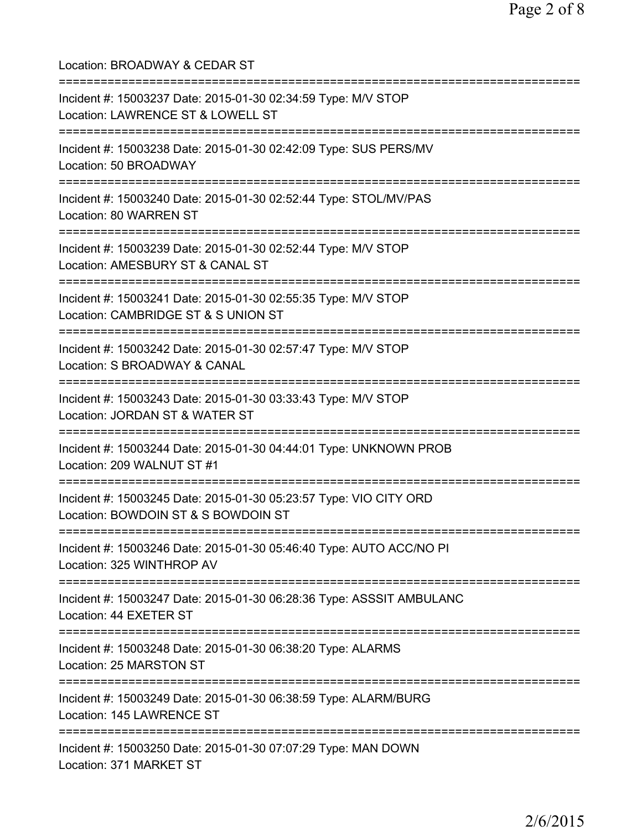Location: BROADWAY & CEDAR ST =========================================================================== Incident #: 15003237 Date: 2015-01-30 02:34:59 Type: M/V STOP Location: LAWRENCE ST & LOWELL ST =========================================================================== Incident #: 15003238 Date: 2015-01-30 02:42:09 Type: SUS PERS/MV Location: 50 BROADWAY =========================================================================== Incident #: 15003240 Date: 2015-01-30 02:52:44 Type: STOL/MV/PAS Location: 80 WARREN ST =========================================================================== Incident #: 15003239 Date: 2015-01-30 02:52:44 Type: M/V STOP Location: AMESBURY ST & CANAL ST =========================================================================== Incident #: 15003241 Date: 2015-01-30 02:55:35 Type: M/V STOP Location: CAMBRIDGE ST & S UNION ST =========================================================================== Incident #: 15003242 Date: 2015-01-30 02:57:47 Type: M/V STOP Location: S BROADWAY & CANAL =========================================================================== Incident #: 15003243 Date: 2015-01-30 03:33:43 Type: M/V STOP Location: JORDAN ST & WATER ST =========================================================================== Incident #: 15003244 Date: 2015-01-30 04:44:01 Type: UNKNOWN PROB Location: 209 WALNUT ST #1 =========================================================================== Incident #: 15003245 Date: 2015-01-30 05:23:57 Type: VIO CITY ORD Location: BOWDOIN ST & S BOWDOIN ST =========================================================================== Incident #: 15003246 Date: 2015-01-30 05:46:40 Type: AUTO ACC/NO PI Location: 325 WINTHROP AV =========================================================================== Incident #: 15003247 Date: 2015-01-30 06:28:36 Type: ASSSIT AMBULANC Location: 44 EXETER ST =========================================================================== Incident #: 15003248 Date: 2015-01-30 06:38:20 Type: ALARMS Location: 25 MARSTON ST =========================================================================== Incident #: 15003249 Date: 2015-01-30 06:38:59 Type: ALARM/BURG Location: 145 LAWRENCE ST =========================================================================== Incident #: 15003250 Date: 2015-01-30 07:07:29 Type: MAN DOWN Location: 371 MARKET ST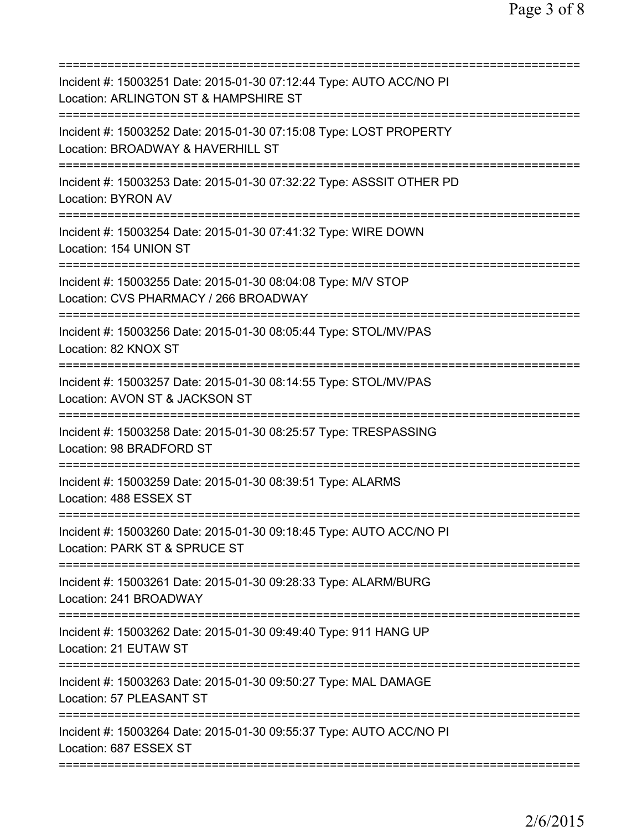| Incident #: 15003251 Date: 2015-01-30 07:12:44 Type: AUTO ACC/NO PI<br>Location: ARLINGTON ST & HAMPSHIRE ST           |
|------------------------------------------------------------------------------------------------------------------------|
| Incident #: 15003252 Date: 2015-01-30 07:15:08 Type: LOST PROPERTY<br>Location: BROADWAY & HAVERHILL ST                |
| Incident #: 15003253 Date: 2015-01-30 07:32:22 Type: ASSSIT OTHER PD<br><b>Location: BYRON AV</b>                      |
| Incident #: 15003254 Date: 2015-01-30 07:41:32 Type: WIRE DOWN<br>Location: 154 UNION ST                               |
| Incident #: 15003255 Date: 2015-01-30 08:04:08 Type: M/V STOP<br>Location: CVS PHARMACY / 266 BROADWAY                 |
| =======================<br>Incident #: 15003256 Date: 2015-01-30 08:05:44 Type: STOL/MV/PAS<br>Location: 82 KNOX ST    |
| Incident #: 15003257 Date: 2015-01-30 08:14:55 Type: STOL/MV/PAS<br>Location: AVON ST & JACKSON ST                     |
| Incident #: 15003258 Date: 2015-01-30 08:25:57 Type: TRESPASSING<br>Location: 98 BRADFORD ST                           |
| Incident #: 15003259 Date: 2015-01-30 08:39:51 Type: ALARMS<br>Location: 488 ESSEX ST                                  |
| Incident #: 15003260 Date: 2015-01-30 09:18:45 Type: AUTO ACC/NO PI<br>Location: PARK ST & SPRUCE ST                   |
| =========================<br>Incident #: 15003261 Date: 2015-01-30 09:28:33 Type: ALARM/BURG<br>Location: 241 BROADWAY |
| Incident #: 15003262 Date: 2015-01-30 09:49:40 Type: 911 HANG UP<br>Location: 21 EUTAW ST                              |
| Incident #: 15003263 Date: 2015-01-30 09:50:27 Type: MAL DAMAGE<br>Location: 57 PLEASANT ST                            |
| Incident #: 15003264 Date: 2015-01-30 09:55:37 Type: AUTO ACC/NO PI<br>Location: 687 ESSEX ST                          |
|                                                                                                                        |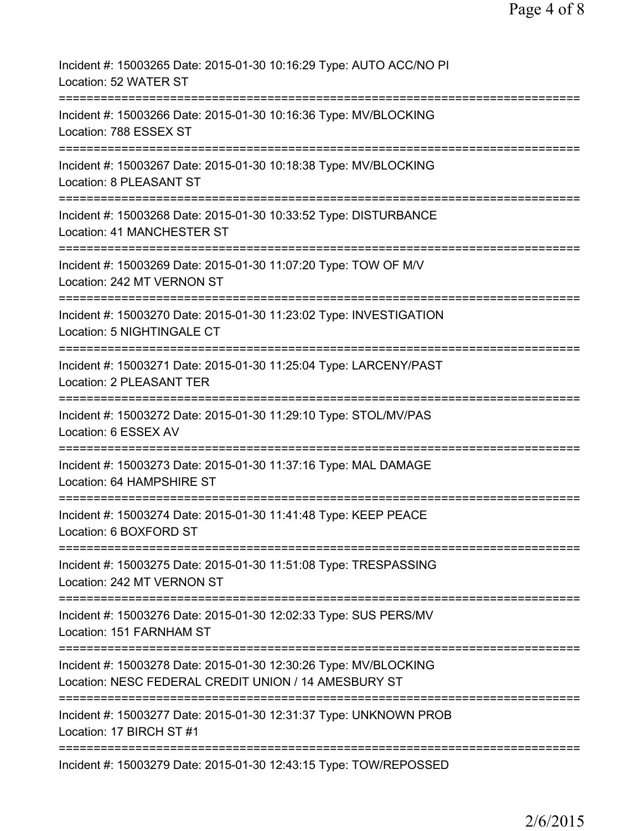| Incident #: 15003265 Date: 2015-01-30 10:16:29 Type: AUTO ACC/NO PI<br>Location: 52 WATER ST                                |
|-----------------------------------------------------------------------------------------------------------------------------|
| Incident #: 15003266 Date: 2015-01-30 10:16:36 Type: MV/BLOCKING<br>Location: 788 ESSEX ST                                  |
| Incident #: 15003267 Date: 2015-01-30 10:18:38 Type: MV/BLOCKING<br>Location: 8 PLEASANT ST                                 |
| Incident #: 15003268 Date: 2015-01-30 10:33:52 Type: DISTURBANCE<br>Location: 41 MANCHESTER ST                              |
| Incident #: 15003269 Date: 2015-01-30 11:07:20 Type: TOW OF M/V<br>Location: 242 MT VERNON ST                               |
| Incident #: 15003270 Date: 2015-01-30 11:23:02 Type: INVESTIGATION<br>Location: 5 NIGHTINGALE CT                            |
| Incident #: 15003271 Date: 2015-01-30 11:25:04 Type: LARCENY/PAST<br>Location: 2 PLEASANT TER                               |
| Incident #: 15003272 Date: 2015-01-30 11:29:10 Type: STOL/MV/PAS<br>Location: 6 ESSEX AV                                    |
| Incident #: 15003273 Date: 2015-01-30 11:37:16 Type: MAL DAMAGE<br>Location: 64 HAMPSHIRE ST                                |
| Incident #: 15003274 Date: 2015-01-30 11:41:48 Type: KEEP PEACE<br>Location: 6 BOXFORD ST                                   |
| Incident #: 15003275 Date: 2015-01-30 11:51:08 Type: TRESPASSING<br>Location: 242 MT VERNON ST                              |
| Incident #: 15003276 Date: 2015-01-30 12:02:33 Type: SUS PERS/MV<br>Location: 151 FARNHAM ST                                |
| Incident #: 15003278 Date: 2015-01-30 12:30:26 Type: MV/BLOCKING<br>Location: NESC FEDERAL CREDIT UNION / 14 AMESBURY ST    |
| ==========================<br>Incident #: 15003277 Date: 2015-01-30 12:31:37 Type: UNKNOWN PROB<br>Location: 17 BIRCH ST #1 |
| Incident #: 15003279 Date: 2015-01-30 12:43:15 Type: TOW/REPOSSED                                                           |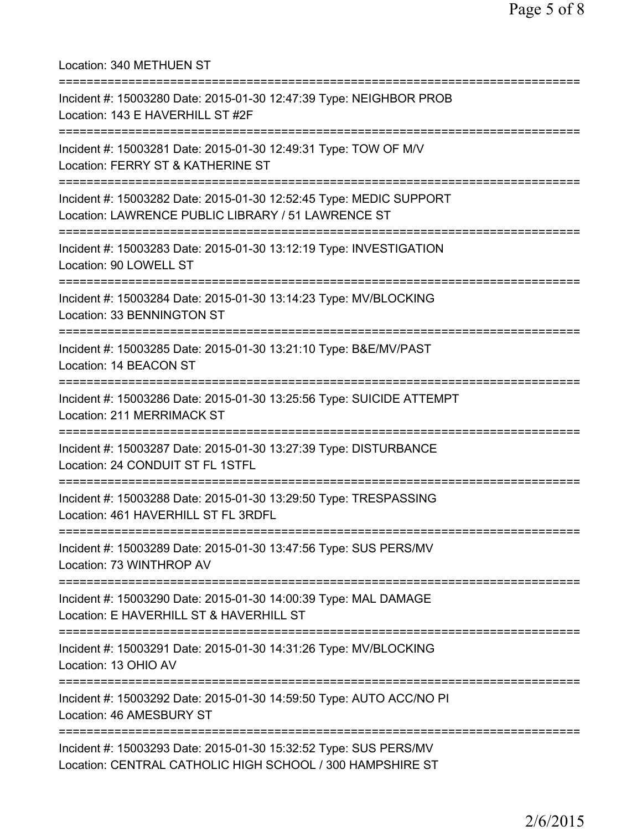| Location: 340 METHUEN ST<br>=====================================                                                                    |
|--------------------------------------------------------------------------------------------------------------------------------------|
| Incident #: 15003280 Date: 2015-01-30 12:47:39 Type: NEIGHBOR PROB<br>Location: 143 E HAVERHILL ST #2F                               |
| Incident #: 15003281 Date: 2015-01-30 12:49:31 Type: TOW OF M/V<br>Location: FERRY ST & KATHERINE ST                                 |
| Incident #: 15003282 Date: 2015-01-30 12:52:45 Type: MEDIC SUPPORT<br>Location: LAWRENCE PUBLIC LIBRARY / 51 LAWRENCE ST             |
| Incident #: 15003283 Date: 2015-01-30 13:12:19 Type: INVESTIGATION<br>Location: 90 LOWELL ST                                         |
| Incident #: 15003284 Date: 2015-01-30 13:14:23 Type: MV/BLOCKING<br>Location: 33 BENNINGTON ST                                       |
| Incident #: 15003285 Date: 2015-01-30 13:21:10 Type: B&E/MV/PAST<br>Location: 14 BEACON ST                                           |
| Incident #: 15003286 Date: 2015-01-30 13:25:56 Type: SUICIDE ATTEMPT<br>Location: 211 MERRIMACK ST                                   |
| Incident #: 15003287 Date: 2015-01-30 13:27:39 Type: DISTURBANCE<br>Location: 24 CONDUIT ST FL 1STFL                                 |
| Incident #: 15003288 Date: 2015-01-30 13:29:50 Type: TRESPASSING<br>Location: 461 HAVERHILL ST FL 3RDFL                              |
| ====================================<br>Incident #: 15003289 Date: 2015-01-30 13:47:56 Type: SUS PERS/MV<br>Location: 73 WINTHROP AV |
| Incident #: 15003290 Date: 2015-01-30 14:00:39 Type: MAL DAMAGE<br>Location: E HAVERHILL ST & HAVERHILL ST                           |
| Incident #: 15003291 Date: 2015-01-30 14:31:26 Type: MV/BLOCKING<br>Location: 13 OHIO AV                                             |
| Incident #: 15003292 Date: 2015-01-30 14:59:50 Type: AUTO ACC/NO PI<br>Location: 46 AMESBURY ST                                      |
| Incident #: 15003293 Date: 2015-01-30 15:32:52 Type: SUS PERS/MV<br>Location: CENTRAL CATHOLIC HIGH SCHOOL / 300 HAMPSHIRE ST        |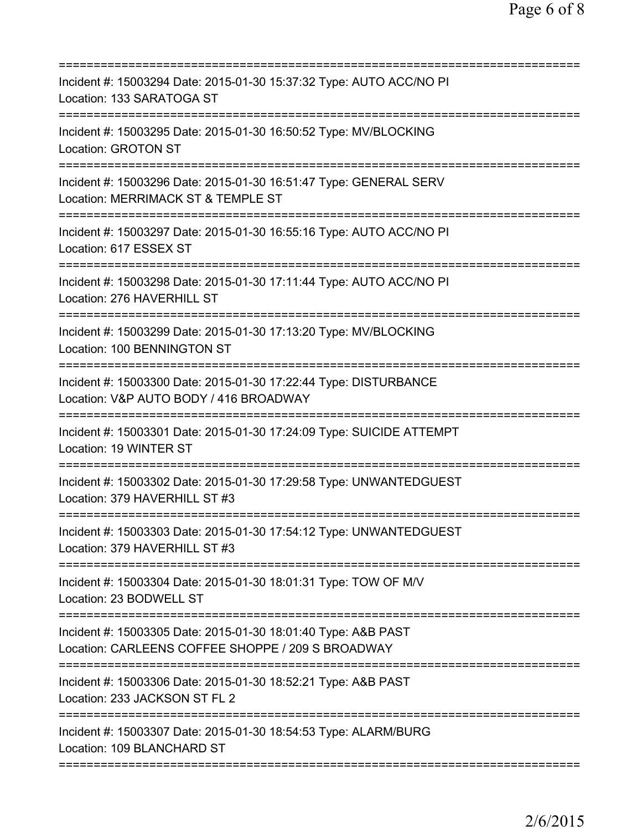| Incident #: 15003294 Date: 2015-01-30 15:37:32 Type: AUTO ACC/NO PI<br>Location: 133 SARATOGA ST                                 |
|----------------------------------------------------------------------------------------------------------------------------------|
| Incident #: 15003295 Date: 2015-01-30 16:50:52 Type: MV/BLOCKING<br><b>Location: GROTON ST</b>                                   |
| Incident #: 15003296 Date: 2015-01-30 16:51:47 Type: GENERAL SERV<br>Location: MERRIMACK ST & TEMPLE ST<br>===================== |
| Incident #: 15003297 Date: 2015-01-30 16:55:16 Type: AUTO ACC/NO PI<br>Location: 617 ESSEX ST                                    |
| Incident #: 15003298 Date: 2015-01-30 17:11:44 Type: AUTO ACC/NO PI<br>Location: 276 HAVERHILL ST                                |
| Incident #: 15003299 Date: 2015-01-30 17:13:20 Type: MV/BLOCKING<br>Location: 100 BENNINGTON ST                                  |
| Incident #: 15003300 Date: 2015-01-30 17:22:44 Type: DISTURBANCE<br>Location: V&P AUTO BODY / 416 BROADWAY                       |
| Incident #: 15003301 Date: 2015-01-30 17:24:09 Type: SUICIDE ATTEMPT<br>Location: 19 WINTER ST                                   |
| Incident #: 15003302 Date: 2015-01-30 17:29:58 Type: UNWANTEDGUEST<br>Location: 379 HAVERHILL ST #3                              |
| Incident #: 15003303 Date: 2015-01-30 17:54:12 Type: UNWANTEDGUEST<br>Location: 379 HAVERHILL ST #3                              |
| Incident #: 15003304 Date: 2015-01-30 18:01:31 Type: TOW OF M/V<br>Location: 23 BODWELL ST                                       |
| Incident #: 15003305 Date: 2015-01-30 18:01:40 Type: A&B PAST<br>Location: CARLEENS COFFEE SHOPPE / 209 S BROADWAY               |
| Incident #: 15003306 Date: 2015-01-30 18:52:21 Type: A&B PAST<br>Location: 233 JACKSON ST FL 2                                   |
| Incident #: 15003307 Date: 2015-01-30 18:54:53 Type: ALARM/BURG<br>Location: 109 BLANCHARD ST                                    |
|                                                                                                                                  |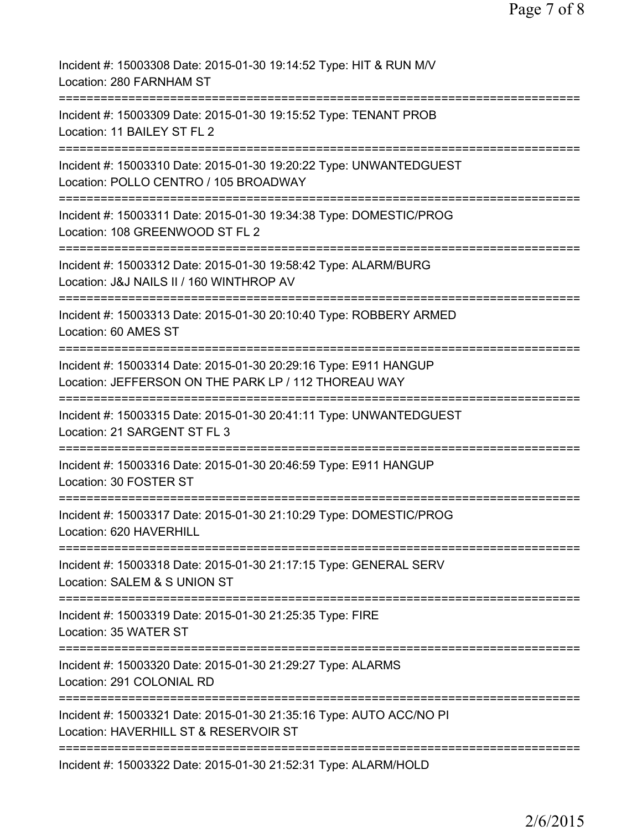| Incident #: 15003308 Date: 2015-01-30 19:14:52 Type: HIT & RUN M/V<br>Location: 280 FARNHAM ST                           |
|--------------------------------------------------------------------------------------------------------------------------|
| Incident #: 15003309 Date: 2015-01-30 19:15:52 Type: TENANT PROB<br>Location: 11 BAILEY ST FL 2                          |
| Incident #: 15003310 Date: 2015-01-30 19:20:22 Type: UNWANTEDGUEST<br>Location: POLLO CENTRO / 105 BROADWAY              |
| Incident #: 15003311 Date: 2015-01-30 19:34:38 Type: DOMESTIC/PROG<br>Location: 108 GREENWOOD ST FL 2                    |
| Incident #: 15003312 Date: 2015-01-30 19:58:42 Type: ALARM/BURG<br>Location: J&J NAILS II / 160 WINTHROP AV              |
| Incident #: 15003313 Date: 2015-01-30 20:10:40 Type: ROBBERY ARMED<br>Location: 60 AMES ST                               |
| Incident #: 15003314 Date: 2015-01-30 20:29:16 Type: E911 HANGUP<br>Location: JEFFERSON ON THE PARK LP / 112 THOREAU WAY |
| Incident #: 15003315 Date: 2015-01-30 20:41:11 Type: UNWANTEDGUEST<br>Location: 21 SARGENT ST FL 3                       |
| Incident #: 15003316 Date: 2015-01-30 20:46:59 Type: E911 HANGUP<br>Location: 30 FOSTER ST                               |
| Incident #: 15003317 Date: 2015-01-30 21:10:29 Type: DOMESTIC/PROG<br>Location: 620 HAVERHILL                            |
| Incident #: 15003318 Date: 2015-01-30 21:17:15 Type: GENERAL SERV<br>Location: SALEM & S UNION ST                        |
| Incident #: 15003319 Date: 2015-01-30 21:25:35 Type: FIRE<br>Location: 35 WATER ST                                       |
| Incident #: 15003320 Date: 2015-01-30 21:29:27 Type: ALARMS<br>Location: 291 COLONIAL RD                                 |
| Incident #: 15003321 Date: 2015-01-30 21:35:16 Type: AUTO ACC/NO PI<br>Location: HAVERHILL ST & RESERVOIR ST             |
| Incident #: 15003322 Date: 2015-01-30 21:52:31 Type: ALARM/HOLD                                                          |